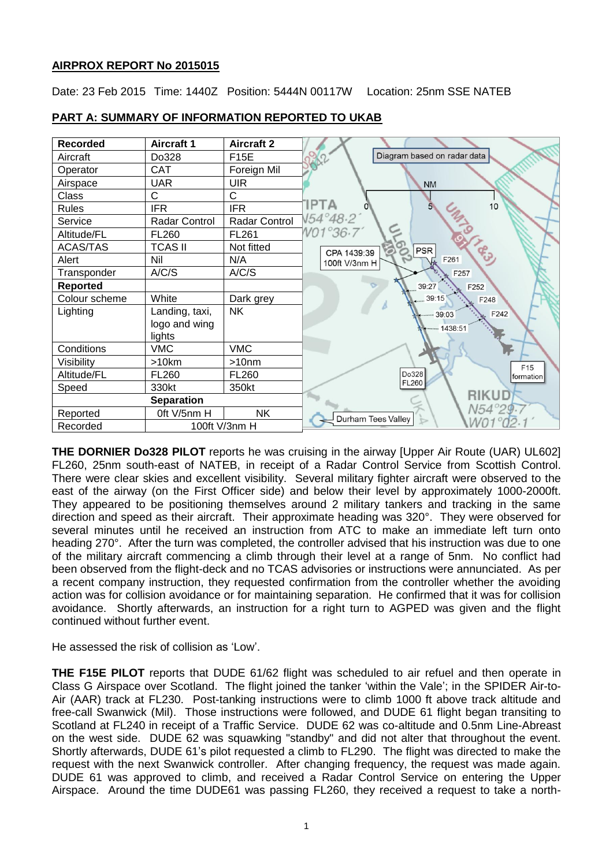# **AIRPROX REPORT No 2015015**

Date: 23 Feb 2015 Time: 1440Z Position: 5444N 00117W Location: 25nm SSE NATEB

| <b>Recorded</b>   | <b>Aircraft 1</b> | <b>Aircraft 2</b> |                             |
|-------------------|-------------------|-------------------|-----------------------------|
| Aircraft          | Do328             | F15E              | Diagram based on radar data |
| Operator          | <b>CAT</b>        | Foreign Mil       |                             |
| Airspace          | <b>UAR</b>        | <b>UIR</b>        | <b>NM</b>                   |
| Class             | C                 | C                 |                             |
| Rules             | <b>IFR</b>        | <b>IFR</b>        | <b>IPTA</b><br>10           |
| Service           | Radar Control     | Radar Control     | V54°48.2                    |
| Altitude/FL       | <b>FL260</b>      | FL261             | V01°36.7'                   |
| <b>ACAS/TAS</b>   | <b>TCAS II</b>    | Not fitted        | PSR<br>CPA 1439:39          |
| Alert             | Nil               | N/A               | F261<br>100ft V/3nm H       |
| Transponder       | A/C/S             | A/C/S             | F257                        |
| <b>Reported</b>   |                   |                   | 39:27<br>F252               |
| Colour scheme     | White             | Dark grey         | $-39:15$<br>F248            |
| Lighting          | Landing, taxi,    | <b>NK</b>         | F242<br>$-39:03$            |
|                   | logo and wing     |                   | $-1438:51$                  |
|                   | lights            |                   |                             |
| Conditions        | <b>VMC</b>        | <b>VMC</b>        |                             |
| Visibility        | >10km             | >10 <sub>nm</sub> | F <sub>15</sub>             |
| Altitude/FL       | <b>FL260</b>      | FL260             | Do328<br>formation          |
| Speed             | 330kt             | 350kt             | FL260                       |
| <b>Separation</b> |                   |                   | <b>RIKUD</b>                |
| Reported          | Oft V/5nm H       | <b>NK</b>         | N54°2<br>Durham Tees Valley |
| Recorded          | 100ft V/3nm H     |                   |                             |

# **PART A: SUMMARY OF INFORMATION REPORTED TO UKAB**

**THE DORNIER Do328 PILOT** reports he was cruising in the airway [Upper Air Route (UAR) UL602] FL260, 25nm south-east of NATEB, in receipt of a Radar Control Service from Scottish Control. There were clear skies and excellent visibility. Several military fighter aircraft were observed to the east of the airway (on the First Officer side) and below their level by approximately 1000-2000ft. They appeared to be positioning themselves around 2 military tankers and tracking in the same direction and speed as their aircraft. Their approximate heading was 320°. They were observed for several minutes until he received an instruction from ATC to make an immediate left turn onto heading 270°. After the turn was completed, the controller advised that his instruction was due to one of the military aircraft commencing a climb through their level at a range of 5nm. No conflict had been observed from the flight-deck and no TCAS advisories or instructions were annunciated. As per a recent company instruction, they requested confirmation from the controller whether the avoiding action was for collision avoidance or for maintaining separation. He confirmed that it was for collision avoidance. Shortly afterwards, an instruction for a right turn to AGPED was given and the flight continued without further event.

He assessed the risk of collision as 'Low'.

**THE F15E PILOT** reports that DUDE 61/62 flight was scheduled to air refuel and then operate in Class G Airspace over Scotland. The flight joined the tanker 'within the Vale'; in the SPIDER Air-to-Air (AAR) track at FL230. Post-tanking instructions were to climb 1000 ft above track altitude and free-call Swanwick (Mil). Those instructions were followed, and DUDE 61 flight began transiting to Scotland at FL240 in receipt of a Traffic Service. DUDE 62 was co-altitude and 0.5nm Line-Abreast on the west side. DUDE 62 was squawking "standby" and did not alter that throughout the event. Shortly afterwards, DUDE 61's pilot requested a climb to FL290. The flight was directed to make the request with the next Swanwick controller. After changing frequency, the request was made again. DUDE 61 was approved to climb, and received a Radar Control Service on entering the Upper Airspace. Around the time DUDE61 was passing FL260, they received a request to take a north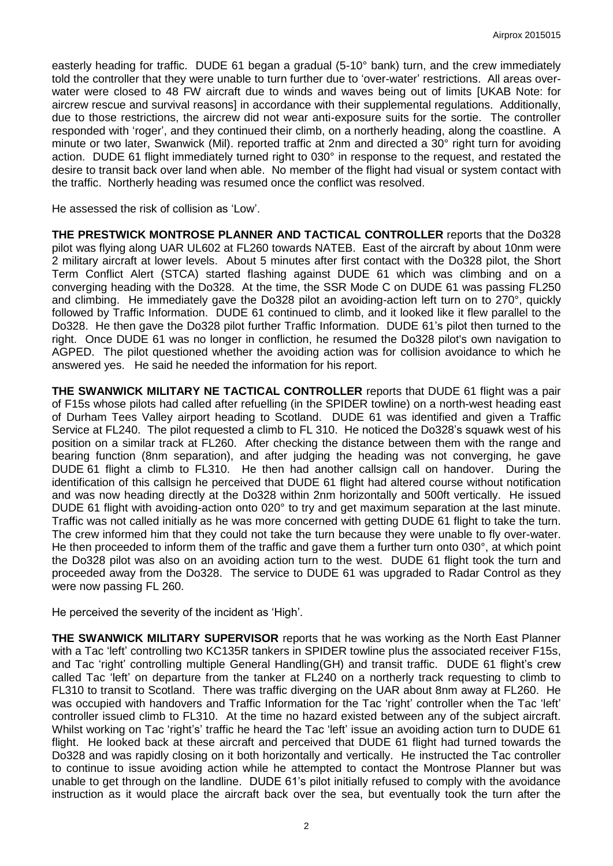easterly heading for traffic. DUDE 61 began a gradual (5-10° bank) turn, and the crew immediately told the controller that they were unable to turn further due to 'over-water' restrictions. All areas overwater were closed to 48 FW aircraft due to winds and waves being out of limits [UKAB Note: for aircrew rescue and survival reasons] in accordance with their supplemental regulations. Additionally, due to those restrictions, the aircrew did not wear anti-exposure suits for the sortie. The controller responded with 'roger', and they continued their climb, on a northerly heading, along the coastline. A minute or two later, Swanwick (Mil). reported traffic at 2nm and directed a 30° right turn for avoiding action. DUDE 61 flight immediately turned right to 030° in response to the request, and restated the desire to transit back over land when able. No member of the flight had visual or system contact with the traffic. Northerly heading was resumed once the conflict was resolved.

He assessed the risk of collision as 'Low'.

**THE PRESTWICK MONTROSE PLANNER AND TACTICAL CONTROLLER** reports that the Do328 pilot was flying along UAR UL602 at FL260 towards NATEB. East of the aircraft by about 10nm were 2 military aircraft at lower levels. About 5 minutes after first contact with the Do328 pilot, the Short Term Conflict Alert (STCA) started flashing against DUDE 61 which was climbing and on a converging heading with the Do328. At the time, the SSR Mode C on DUDE 61 was passing FL250 and climbing. He immediately gave the Do328 pilot an avoiding-action left turn on to 270°, quickly followed by Traffic Information. DUDE 61 continued to climb, and it looked like it flew parallel to the Do328. He then gave the Do328 pilot further Traffic Information. DUDE 61's pilot then turned to the right. Once DUDE 61 was no longer in confliction, he resumed the Do328 pilot's own navigation to AGPED. The pilot questioned whether the avoiding action was for collision avoidance to which he answered yes. He said he needed the information for his report.

**THE SWANWICK MILITARY NE TACTICAL CONTROLLER** reports that DUDE 61 flight was a pair of F15s whose pilots had called after refuelling (in the SPIDER towline) on a north-west heading east of Durham Tees Valley airport heading to Scotland. DUDE 61 was identified and given a Traffic Service at FL240. The pilot requested a climb to FL 310. He noticed the Do328's squawk west of his position on a similar track at FL260. After checking the distance between them with the range and bearing function (8nm separation), and after judging the heading was not converging, he gave DUDE 61 flight a climb to FL310. He then had another callsign call on handover. During the identification of this callsign he perceived that DUDE 61 flight had altered course without notification and was now heading directly at the Do328 within 2nm horizontally and 500ft vertically. He issued DUDE 61 flight with avoiding-action onto 020° to try and get maximum separation at the last minute. Traffic was not called initially as he was more concerned with getting DUDE 61 flight to take the turn. The crew informed him that they could not take the turn because they were unable to fly over-water. He then proceeded to inform them of the traffic and gave them a further turn onto 030°, at which point the Do328 pilot was also on an avoiding action turn to the west. DUDE 61 flight took the turn and proceeded away from the Do328. The service to DUDE 61 was upgraded to Radar Control as they were now passing FL 260.

He perceived the severity of the incident as 'High'.

**THE SWANWICK MILITARY SUPERVISOR** reports that he was working as the North East Planner with a Tac 'left' controlling two KC135R tankers in SPIDER towline plus the associated receiver F15s, and Tac 'right' controlling multiple General Handling(GH) and transit traffic. DUDE 61 flight's crew called Tac 'left' on departure from the tanker at FL240 on a northerly track requesting to climb to FL310 to transit to Scotland. There was traffic diverging on the UAR about 8nm away at FL260. He was occupied with handovers and Traffic Information for the Tac 'right' controller when the Tac 'left' controller issued climb to FL310. At the time no hazard existed between any of the subject aircraft. Whilst working on Tac 'right's' traffic he heard the Tac 'left' issue an avoiding action turn to DUDE 61 flight. He looked back at these aircraft and perceived that DUDE 61 flight had turned towards the Do328 and was rapidly closing on it both horizontally and vertically. He instructed the Tac controller to continue to issue avoiding action while he attempted to contact the Montrose Planner but was unable to get through on the landline. DUDE 61's pilot initially refused to comply with the avoidance instruction as it would place the aircraft back over the sea, but eventually took the turn after the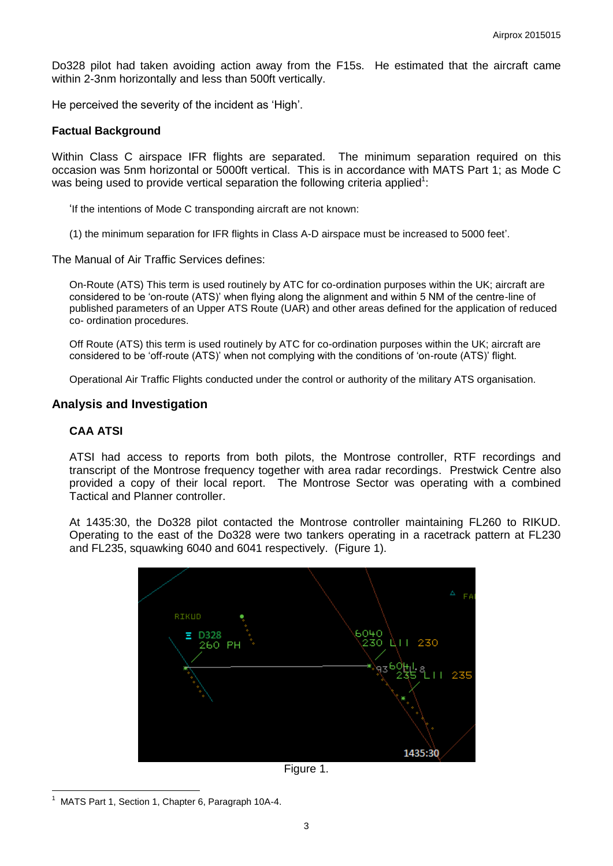Do328 pilot had taken avoiding action away from the F15s. He estimated that the aircraft came within 2-3nm horizontally and less than 500ft vertically.

He perceived the severity of the incident as 'High'.

#### **Factual Background**

Within Class C airspace IFR flights are separated. The minimum separation required on this occasion was 5nm horizontal or 5000ft vertical. This is in accordance with MATS Part 1; as Mode C was being used to provide vertical separation the following criteria applied<sup>1</sup>:

'If the intentions of Mode C transponding aircraft are not known:

(1) the minimum separation for IFR flights in Class A-D airspace must be increased to 5000 feet'.

The Manual of Air Traffic Services defines:

On-Route (ATS) This term is used routinely by ATC for co-ordination purposes within the UK; aircraft are considered to be 'on-route (ATS)' when flying along the alignment and within 5 NM of the centre-line of published parameters of an Upper ATS Route (UAR) and other areas defined for the application of reduced co- ordination procedures.

Off Route (ATS) this term is used routinely by ATC for co-ordination purposes within the UK; aircraft are considered to be 'off-route (ATS)' when not complying with the conditions of 'on-route (ATS)' flight.

Operational Air Traffic Flights conducted under the control or authority of the military ATS organisation.

## **Analysis and Investigation**

### **CAA ATSI**

ATSI had access to reports from both pilots, the Montrose controller, RTF recordings and transcript of the Montrose frequency together with area radar recordings. Prestwick Centre also provided a copy of their local report. The Montrose Sector was operating with a combined Tactical and Planner controller.

At 1435:30, the Do328 pilot contacted the Montrose controller maintaining FL260 to RIKUD. Operating to the east of the Do328 were two tankers operating in a racetrack pattern at FL230 and FL235, squawking 6040 and 6041 respectively. (Figure 1).





 $\overline{a}$ 1 MATS Part 1, Section 1, Chapter 6, Paragraph 10A-4.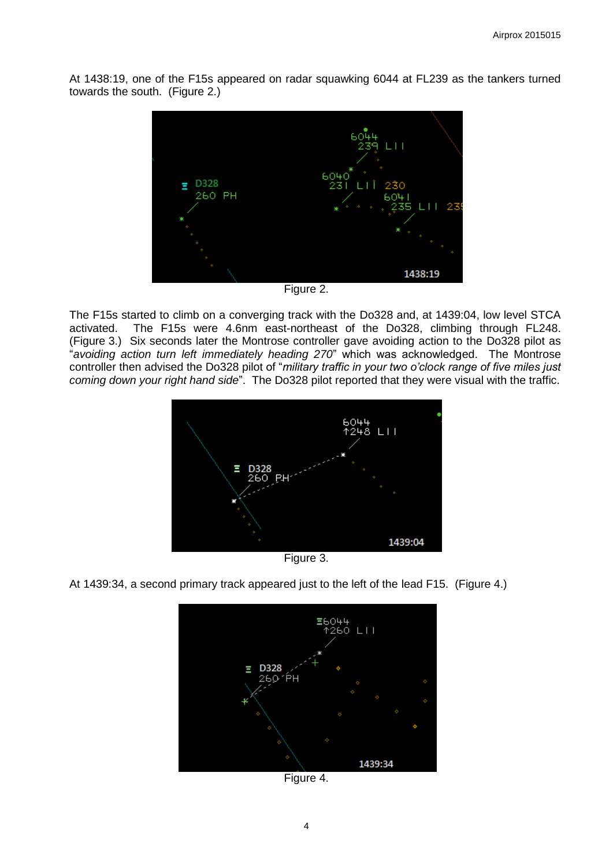At 1438:19, one of the F15s appeared on radar squawking 6044 at FL239 as the tankers turned towards the south. (Figure 2.)



Figure 2.

The F15s started to climb on a converging track with the Do328 and, at 1439:04, low level STCA activated. The F15s were 4.6nm east-northeast of the Do328, climbing through FL248. (Figure 3.) Six seconds later the Montrose controller gave avoiding action to the Do328 pilot as "*avoiding action turn left immediately heading 270*" which was acknowledged. The Montrose controller then advised the Do328 pilot of "*military traffic in your two o'clock range of five miles just coming down your right hand side*". The Do328 pilot reported that they were visual with the traffic.



Figure 3.



At 1439:34, a second primary track appeared just to the left of the lead F15. (Figure 4.)

Figure 4.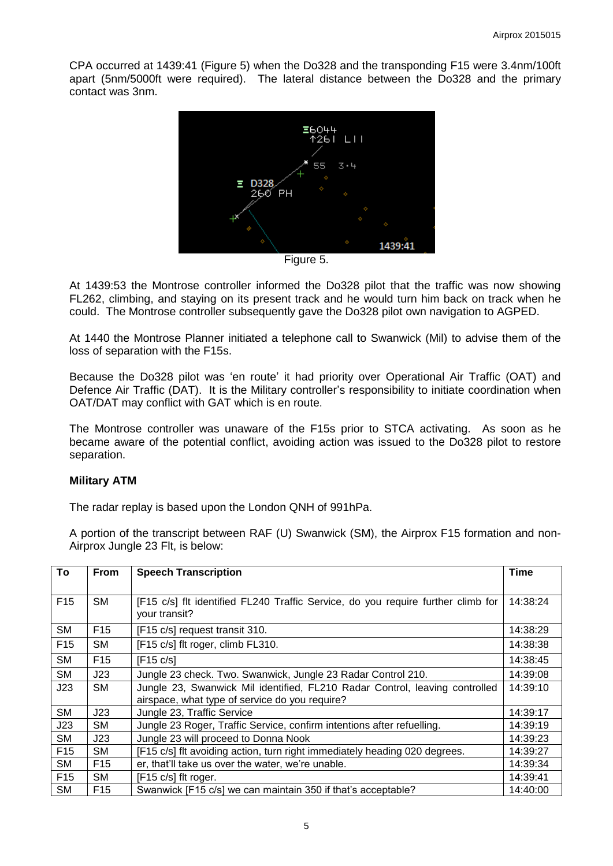CPA occurred at 1439:41 (Figure 5) when the Do328 and the transponding F15 were 3.4nm/100ft apart (5nm/5000ft were required). The lateral distance between the Do328 and the primary contact was 3nm.



Figure 5.

At 1439:53 the Montrose controller informed the Do328 pilot that the traffic was now showing FL262, climbing, and staying on its present track and he would turn him back on track when he could. The Montrose controller subsequently gave the Do328 pilot own navigation to AGPED.

At 1440 the Montrose Planner initiated a telephone call to Swanwick (Mil) to advise them of the loss of separation with the F15s.

Because the Do328 pilot was 'en route' it had priority over Operational Air Traffic (OAT) and Defence Air Traffic (DAT). It is the Military controller's responsibility to initiate coordination when OAT/DAT may conflict with GAT which is en route.

The Montrose controller was unaware of the F15s prior to STCA activating. As soon as he became aware of the potential conflict, avoiding action was issued to the Do328 pilot to restore separation.

## **Military ATM**

The radar replay is based upon the London QNH of 991hPa.

A portion of the transcript between RAF (U) Swanwick (SM), the Airprox F15 formation and non-Airprox Jungle 23 Flt, is below:

| To              | <b>From</b>     | <b>Speech Transcription</b>                                                                       |          |
|-----------------|-----------------|---------------------------------------------------------------------------------------------------|----------|
|                 |                 |                                                                                                   |          |
| F <sub>15</sub> | <b>SM</b>       | [F15 c/s] flt identified FL240 Traffic Service, do you require further climb for<br>your transit? |          |
| <b>SM</b>       | F <sub>15</sub> | [F15 c/s] request transit 310.                                                                    | 14:38:29 |
| F <sub>15</sub> | <b>SM</b>       | [F15 c/s] flt roger, climb FL310.                                                                 | 14:38:38 |
| <b>SM</b>       | F <sub>15</sub> | [F15 c/s]                                                                                         | 14:38:45 |
| <b>SM</b>       | J23             | Jungle 23 check. Two. Swanwick, Jungle 23 Radar Control 210.                                      | 14:39:08 |
| J23             | <b>SM</b>       | Jungle 23, Swanwick Mil identified, FL210 Radar Control, leaving controlled                       | 14:39:10 |
|                 |                 | airspace, what type of service do you require?                                                    |          |
| <b>SM</b>       | J23             | Jungle 23, Traffic Service                                                                        | 14:39:17 |
| J23             | <b>SM</b>       | Jungle 23 Roger, Traffic Service, confirm intentions after refuelling.                            | 14:39:19 |
| <b>SM</b>       | J23             | Jungle 23 will proceed to Donna Nook                                                              | 14:39:23 |
| F <sub>15</sub> | <b>SM</b>       | [F15 c/s] flt avoiding action, turn right immediately heading 020 degrees.                        | 14:39:27 |
| <b>SM</b>       | F <sub>15</sub> | er, that'll take us over the water, we're unable.                                                 | 14:39:34 |
| F <sub>15</sub> | <b>SM</b>       | [F15 c/s] flt roger.                                                                              | 14:39:41 |
| <b>SM</b>       | F <sub>15</sub> | Swanwick [F15 c/s] we can maintain 350 if that's acceptable?                                      | 14:40:00 |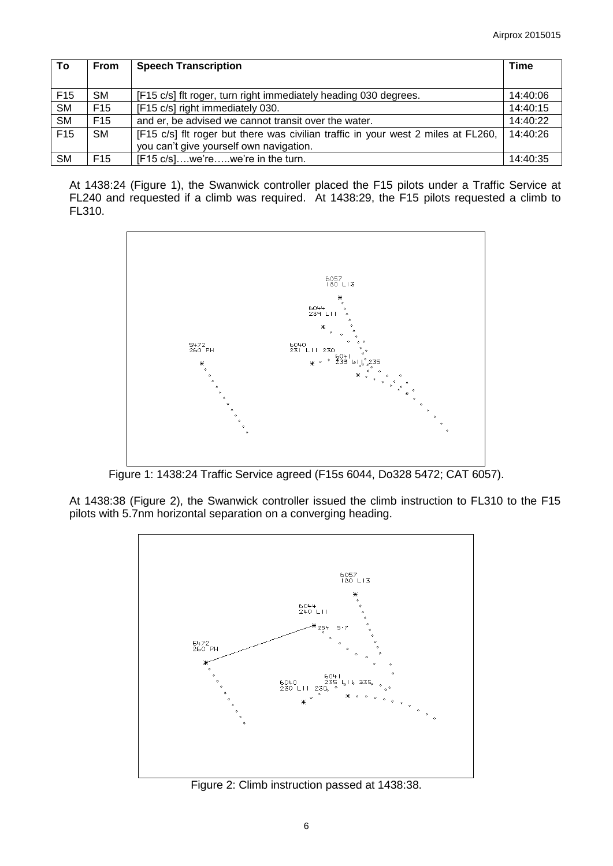| To              | <b>From</b>     | <b>Speech Transcription</b>                                                       |          |
|-----------------|-----------------|-----------------------------------------------------------------------------------|----------|
|                 |                 |                                                                                   |          |
| F <sub>15</sub> | SM              | [F15 c/s] fit roger, turn right immediately heading 030 degrees.                  | 14:40:06 |
| <b>SM</b>       | F <sub>15</sub> | [F15 c/s] right immediately 030.                                                  | 14:40:15 |
| <b>SM</b>       | F <sub>15</sub> | and er, be advised we cannot transit over the water.                              | 14:40:22 |
| F <sub>15</sub> | <b>SM</b>       | [F15 c/s] flt roger but there was civilian traffic in your west 2 miles at FL260, | 14:40:26 |
|                 |                 | you can't give yourself own navigation.                                           |          |
| <b>SM</b>       | F <sub>15</sub> | [F15 c/s]we'rewe're in the turn.                                                  | 14:40:35 |

At 1438:24 (Figure 1), the Swanwick controller placed the F15 pilots under a Traffic Service at FL240 and requested if a climb was required. At 1438:29, the F15 pilots requested a climb to FL310.



Figure 1: 1438:24 Traffic Service agreed (F15s 6044, Do328 5472; CAT 6057).

At 1438:38 (Figure 2), the Swanwick controller issued the climb instruction to FL310 to the F15 pilots with 5.7nm horizontal separation on a converging heading.



Figure 2: Climb instruction passed at 1438:38.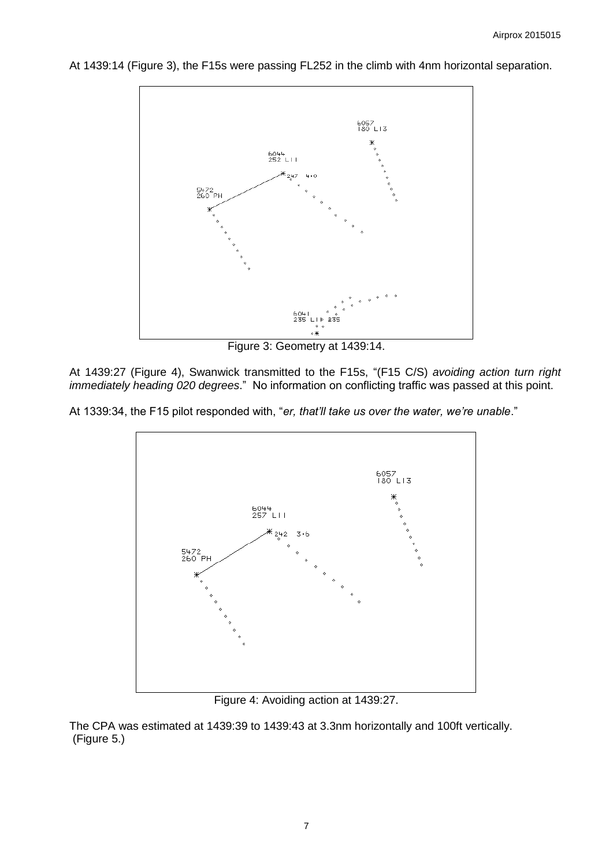6057<br>180 L13 6044<br>252 LII  $247$ 5472<br>260 PH 6041 %<br>235 LIP 235 ∘Ж

At 1439:14 (Figure 3), the F15s were passing FL252 in the climb with 4nm horizontal separation.

Figure 3: Geometry at 1439:14.

At 1439:27 (Figure 4), Swanwick transmitted to the F15s, "(F15 C/S) *avoiding action turn right immediately heading 020 degrees*." No information on conflicting traffic was passed at this point.

At 1339:34, the F15 pilot responded with, "*er, that'll take us over the water, we're unable*."



Figure 4: Avoiding action at 1439:27.

The CPA was estimated at 1439:39 to 1439:43 at 3.3nm horizontally and 100ft vertically. (Figure 5.)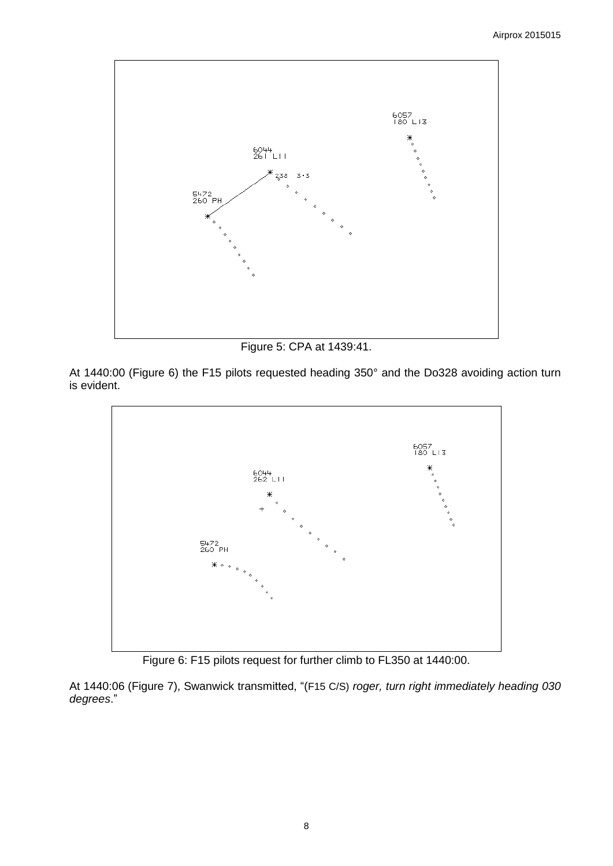

Figure 5: CPA at 1439:41.

At 1440:00 (Figure 6) the F15 pilots requested heading 350° and the Do328 avoiding action turn is evident.



Figure 6: F15 pilots request for further climb to FL350 at 1440:00.

At 1440:06 (Figure 7), Swanwick transmitted, "(F15 C/S) *roger, turn right immediately heading 030 degrees*."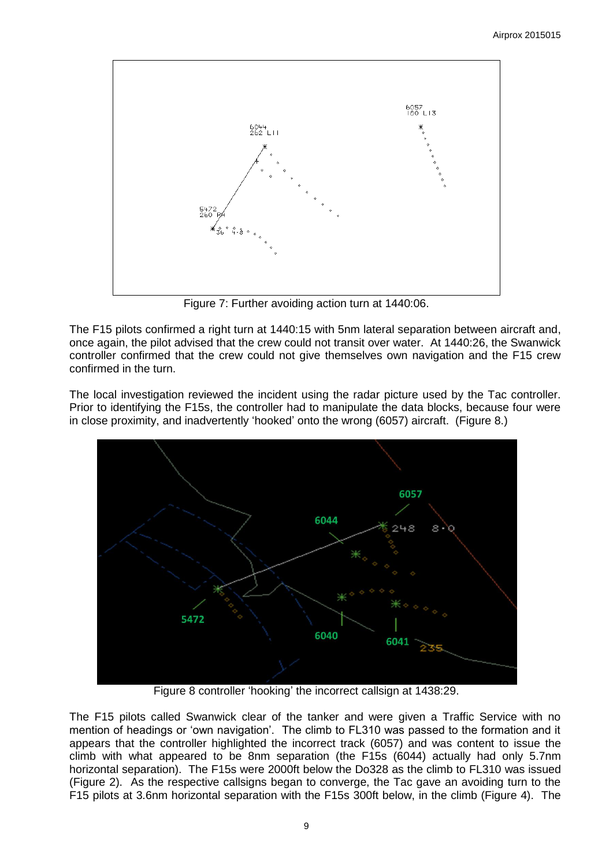

Figure 7: Further avoiding action turn at 1440:06.

The F15 pilots confirmed a right turn at 1440:15 with 5nm lateral separation between aircraft and, once again, the pilot advised that the crew could not transit over water. At 1440:26, the Swanwick controller confirmed that the crew could not give themselves own navigation and the F15 crew confirmed in the turn.

The local investigation reviewed the incident using the radar picture used by the Tac controller. Prior to identifying the F15s, the controller had to manipulate the data blocks, because four were in close proximity, and inadvertently 'hooked' onto the wrong (6057) aircraft. (Figure 8.)



Figure 8 controller 'hooking' the incorrect callsign at 1438:29.

The F15 pilots called Swanwick clear of the tanker and were given a Traffic Service with no mention of headings or 'own navigation'. The climb to FL310 was passed to the formation and it appears that the controller highlighted the incorrect track (6057) and was content to issue the climb with what appeared to be 8nm separation (the F15s (6044) actually had only 5.7nm horizontal separation). The F15s were 2000ft below the Do328 as the climb to FL310 was issued (Figure 2). As the respective callsigns began to converge, the Tac gave an avoiding turn to the F15 pilots at 3.6nm horizontal separation with the F15s 300ft below, in the climb (Figure 4). The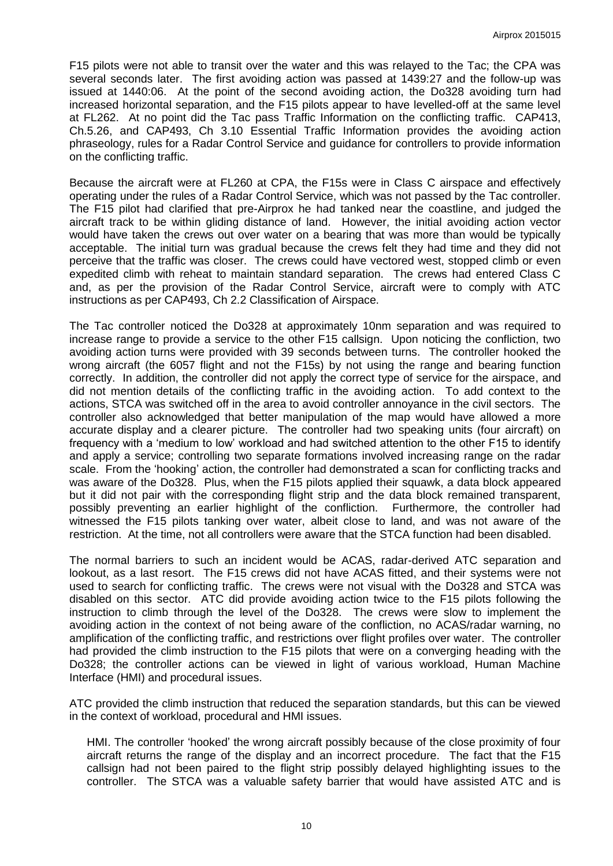F15 pilots were not able to transit over the water and this was relayed to the Tac; the CPA was several seconds later. The first avoiding action was passed at 1439:27 and the follow-up was issued at 1440:06. At the point of the second avoiding action, the Do328 avoiding turn had increased horizontal separation, and the F15 pilots appear to have levelled-off at the same level at FL262. At no point did the Tac pass Traffic Information on the conflicting traffic. CAP413, Ch.5.26, and CAP493, Ch 3.10 Essential Traffic Information provides the avoiding action phraseology, rules for a Radar Control Service and guidance for controllers to provide information on the conflicting traffic.

Because the aircraft were at FL260 at CPA, the F15s were in Class C airspace and effectively operating under the rules of a Radar Control Service, which was not passed by the Tac controller. The F15 pilot had clarified that pre-Airprox he had tanked near the coastline, and judged the aircraft track to be within gliding distance of land. However, the initial avoiding action vector would have taken the crews out over water on a bearing that was more than would be typically acceptable. The initial turn was gradual because the crews felt they had time and they did not perceive that the traffic was closer. The crews could have vectored west, stopped climb or even expedited climb with reheat to maintain standard separation. The crews had entered Class C and, as per the provision of the Radar Control Service, aircraft were to comply with ATC instructions as per CAP493, Ch 2.2 Classification of Airspace.

The Tac controller noticed the Do328 at approximately 10nm separation and was required to increase range to provide a service to the other F15 callsign. Upon noticing the confliction, two avoiding action turns were provided with 39 seconds between turns. The controller hooked the wrong aircraft (the 6057 flight and not the F15s) by not using the range and bearing function correctly. In addition, the controller did not apply the correct type of service for the airspace, and did not mention details of the conflicting traffic in the avoiding action. To add context to the actions, STCA was switched off in the area to avoid controller annoyance in the civil sectors. The controller also acknowledged that better manipulation of the map would have allowed a more accurate display and a clearer picture. The controller had two speaking units (four aircraft) on frequency with a 'medium to low' workload and had switched attention to the other F15 to identify and apply a service; controlling two separate formations involved increasing range on the radar scale. From the 'hooking' action, the controller had demonstrated a scan for conflicting tracks and was aware of the Do328. Plus, when the F15 pilots applied their squawk, a data block appeared but it did not pair with the corresponding flight strip and the data block remained transparent, possibly preventing an earlier highlight of the confliction. Furthermore, the controller had witnessed the F15 pilots tanking over water, albeit close to land, and was not aware of the restriction. At the time, not all controllers were aware that the STCA function had been disabled.

The normal barriers to such an incident would be ACAS, radar-derived ATC separation and lookout, as a last resort. The F15 crews did not have ACAS fitted, and their systems were not used to search for conflicting traffic. The crews were not visual with the Do328 and STCA was disabled on this sector. ATC did provide avoiding action twice to the F15 pilots following the instruction to climb through the level of the Do328. The crews were slow to implement the avoiding action in the context of not being aware of the confliction, no ACAS/radar warning, no amplification of the conflicting traffic, and restrictions over flight profiles over water. The controller had provided the climb instruction to the F15 pilots that were on a converging heading with the Do328; the controller actions can be viewed in light of various workload, Human Machine Interface (HMI) and procedural issues.

ATC provided the climb instruction that reduced the separation standards, but this can be viewed in the context of workload, procedural and HMI issues.

HMI. The controller 'hooked' the wrong aircraft possibly because of the close proximity of four aircraft returns the range of the display and an incorrect procedure. The fact that the F15 callsign had not been paired to the flight strip possibly delayed highlighting issues to the controller. The STCA was a valuable safety barrier that would have assisted ATC and is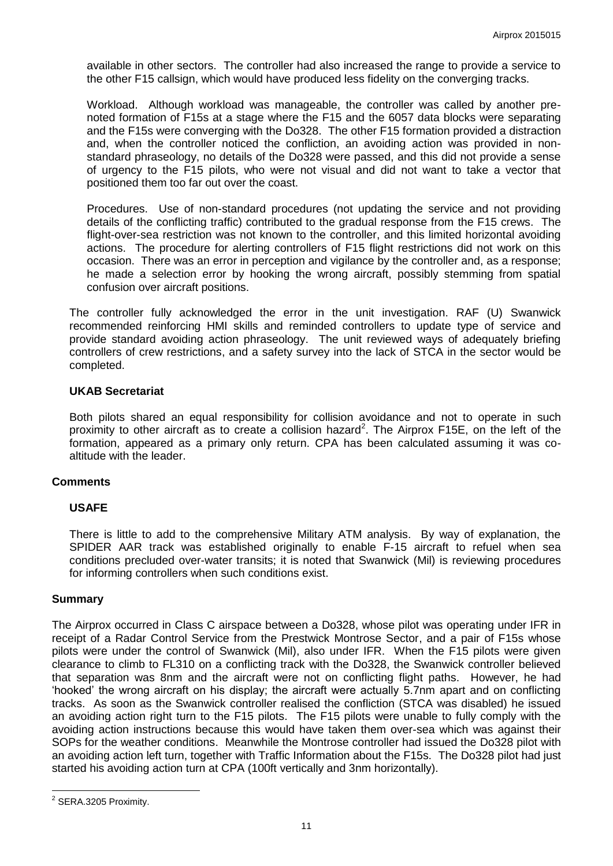available in other sectors. The controller had also increased the range to provide a service to the other F15 callsign, which would have produced less fidelity on the converging tracks.

Workload. Although workload was manageable, the controller was called by another prenoted formation of F15s at a stage where the F15 and the 6057 data blocks were separating and the F15s were converging with the Do328. The other F15 formation provided a distraction and, when the controller noticed the confliction, an avoiding action was provided in nonstandard phraseology, no details of the Do328 were passed, and this did not provide a sense of urgency to the F15 pilots, who were not visual and did not want to take a vector that positioned them too far out over the coast.

Procedures. Use of non-standard procedures (not updating the service and not providing details of the conflicting traffic) contributed to the gradual response from the F15 crews. The flight-over-sea restriction was not known to the controller, and this limited horizontal avoiding actions. The procedure for alerting controllers of F15 flight restrictions did not work on this occasion. There was an error in perception and vigilance by the controller and, as a response; he made a selection error by hooking the wrong aircraft, possibly stemming from spatial confusion over aircraft positions.

The controller fully acknowledged the error in the unit investigation. RAF (U) Swanwick recommended reinforcing HMI skills and reminded controllers to update type of service and provide standard avoiding action phraseology. The unit reviewed ways of adequately briefing controllers of crew restrictions, and a safety survey into the lack of STCA in the sector would be completed.

## **UKAB Secretariat**

Both pilots shared an equal responsibility for collision avoidance and not to operate in such proximity to other aircraft as to create a collision hazard<sup>2</sup>. The Airprox F15E, on the left of the formation, appeared as a primary only return. CPA has been calculated assuming it was coaltitude with the leader.

#### **Comments**

# **USAFE**

There is little to add to the comprehensive Military ATM analysis. By way of explanation, the SPIDER AAR track was established originally to enable F-15 aircraft to refuel when sea conditions precluded over-water transits; it is noted that Swanwick (Mil) is reviewing procedures for informing controllers when such conditions exist.

#### **Summary**

The Airprox occurred in Class C airspace between a Do328, whose pilot was operating under IFR in receipt of a Radar Control Service from the Prestwick Montrose Sector, and a pair of F15s whose pilots were under the control of Swanwick (Mil), also under IFR. When the F15 pilots were given clearance to climb to FL310 on a conflicting track with the Do328, the Swanwick controller believed that separation was 8nm and the aircraft were not on conflicting flight paths. However, he had 'hooked' the wrong aircraft on his display; the aircraft were actually 5.7nm apart and on conflicting tracks. As soon as the Swanwick controller realised the confliction (STCA was disabled) he issued an avoiding action right turn to the F15 pilots. The F15 pilots were unable to fully comply with the avoiding action instructions because this would have taken them over-sea which was against their SOPs for the weather conditions. Meanwhile the Montrose controller had issued the Do328 pilot with an avoiding action left turn, together with Traffic Information about the F15s. The Do328 pilot had just started his avoiding action turn at CPA (100ft vertically and 3nm horizontally).

 $\overline{a}$ <sup>2</sup> SERA.3205 Proximity.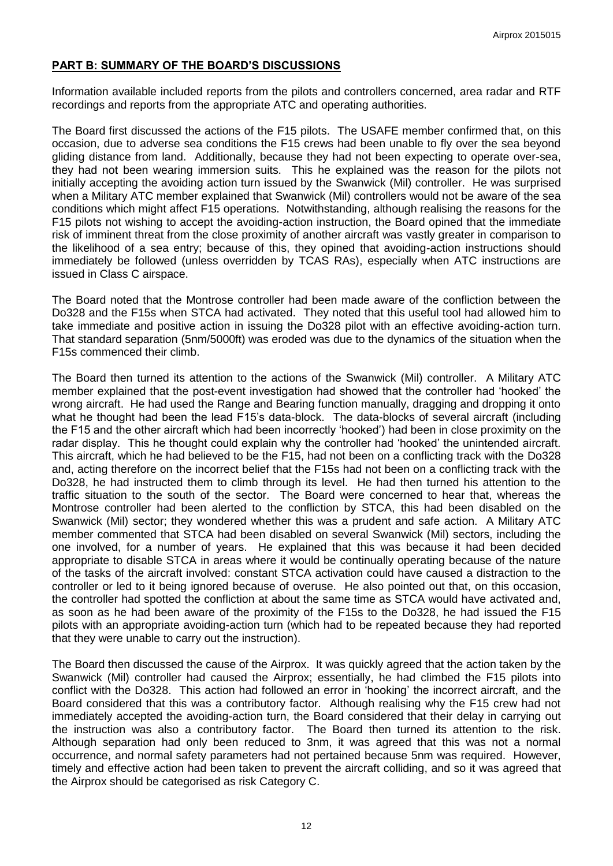# **PART B: SUMMARY OF THE BOARD'S DISCUSSIONS**

Information available included reports from the pilots and controllers concerned, area radar and RTF recordings and reports from the appropriate ATC and operating authorities.

The Board first discussed the actions of the F15 pilots. The USAFE member confirmed that, on this occasion, due to adverse sea conditions the F15 crews had been unable to fly over the sea beyond gliding distance from land. Additionally, because they had not been expecting to operate over-sea, they had not been wearing immersion suits. This he explained was the reason for the pilots not initially accepting the avoiding action turn issued by the Swanwick (Mil) controller. He was surprised when a Military ATC member explained that Swanwick (Mil) controllers would not be aware of the sea conditions which might affect F15 operations. Notwithstanding, although realising the reasons for the F15 pilots not wishing to accept the avoiding-action instruction, the Board opined that the immediate risk of imminent threat from the close proximity of another aircraft was vastly greater in comparison to the likelihood of a sea entry; because of this, they opined that avoiding-action instructions should immediately be followed (unless overridden by TCAS RAs), especially when ATC instructions are issued in Class C airspace.

The Board noted that the Montrose controller had been made aware of the confliction between the Do328 and the F15s when STCA had activated. They noted that this useful tool had allowed him to take immediate and positive action in issuing the Do328 pilot with an effective avoiding-action turn. That standard separation (5nm/5000ft) was eroded was due to the dynamics of the situation when the F15s commenced their climb.

The Board then turned its attention to the actions of the Swanwick (Mil) controller. A Military ATC member explained that the post-event investigation had showed that the controller had 'hooked' the wrong aircraft. He had used the Range and Bearing function manually, dragging and dropping it onto what he thought had been the lead F15's data-block. The data-blocks of several aircraft (including the F15 and the other aircraft which had been incorrectly 'hooked') had been in close proximity on the radar display. This he thought could explain why the controller had 'hooked' the unintended aircraft. This aircraft, which he had believed to be the F15, had not been on a conflicting track with the Do328 and, acting therefore on the incorrect belief that the F15s had not been on a conflicting track with the Do328, he had instructed them to climb through its level. He had then turned his attention to the traffic situation to the south of the sector. The Board were concerned to hear that, whereas the Montrose controller had been alerted to the confliction by STCA, this had been disabled on the Swanwick (Mil) sector; they wondered whether this was a prudent and safe action. A Military ATC member commented that STCA had been disabled on several Swanwick (Mil) sectors, including the one involved, for a number of years. He explained that this was because it had been decided appropriate to disable STCA in areas where it would be continually operating because of the nature of the tasks of the aircraft involved: constant STCA activation could have caused a distraction to the controller or led to it being ignored because of overuse. He also pointed out that, on this occasion, the controller had spotted the confliction at about the same time as STCA would have activated and, as soon as he had been aware of the proximity of the F15s to the Do328, he had issued the F15 pilots with an appropriate avoiding-action turn (which had to be repeated because they had reported that they were unable to carry out the instruction).

The Board then discussed the cause of the Airprox. It was quickly agreed that the action taken by the Swanwick (Mil) controller had caused the Airprox; essentially, he had climbed the F15 pilots into conflict with the Do328. This action had followed an error in 'hooking' the incorrect aircraft, and the Board considered that this was a contributory factor. Although realising why the F15 crew had not immediately accepted the avoiding-action turn, the Board considered that their delay in carrying out the instruction was also a contributory factor. The Board then turned its attention to the risk. Although separation had only been reduced to 3nm, it was agreed that this was not a normal occurrence, and normal safety parameters had not pertained because 5nm was required. However, timely and effective action had been taken to prevent the aircraft colliding, and so it was agreed that the Airprox should be categorised as risk Category C.